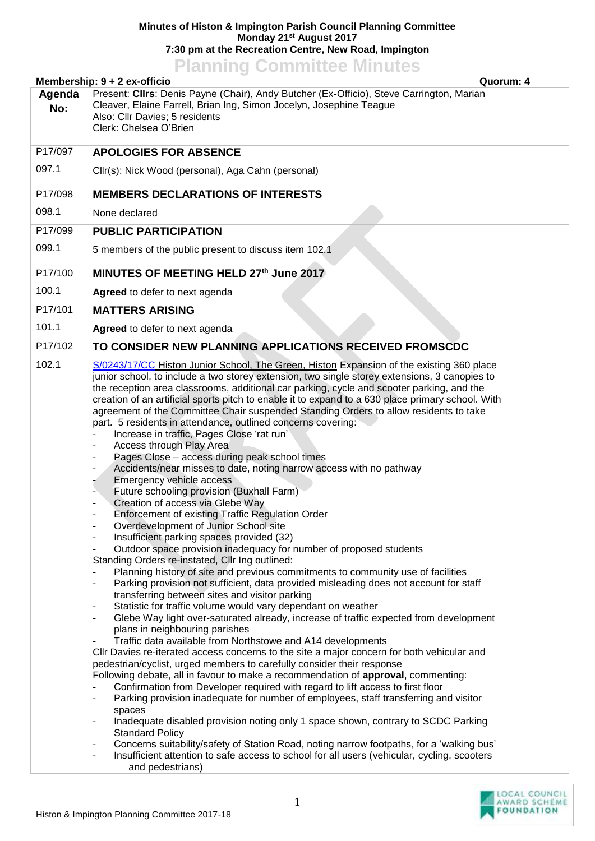## **Minutes of Histon & Impington Parish Council Planning Committee Monday 21st August 2017 7:30 pm at the Recreation Centre, New Road, Impington**

## **Planning Committee Minutes**

|               | Membership: 9 + 2 ex-officio<br>Quorum: 4                                                                                                                                                                                                                                                                                                                                                                                                                                                                                                                                                                                                                                                                                                                                                                                                                                                                                                                                                                                                                                                                                                                                                                                                                                                                                                                                                                                                                                                                                                                                                                                                                                                                                                                                                                                                                                                                                                                                                                                                                                                                                                                                                                                                                                                                                                                                                                                                                                                                                                                                            |  |
|---------------|--------------------------------------------------------------------------------------------------------------------------------------------------------------------------------------------------------------------------------------------------------------------------------------------------------------------------------------------------------------------------------------------------------------------------------------------------------------------------------------------------------------------------------------------------------------------------------------------------------------------------------------------------------------------------------------------------------------------------------------------------------------------------------------------------------------------------------------------------------------------------------------------------------------------------------------------------------------------------------------------------------------------------------------------------------------------------------------------------------------------------------------------------------------------------------------------------------------------------------------------------------------------------------------------------------------------------------------------------------------------------------------------------------------------------------------------------------------------------------------------------------------------------------------------------------------------------------------------------------------------------------------------------------------------------------------------------------------------------------------------------------------------------------------------------------------------------------------------------------------------------------------------------------------------------------------------------------------------------------------------------------------------------------------------------------------------------------------------------------------------------------------------------------------------------------------------------------------------------------------------------------------------------------------------------------------------------------------------------------------------------------------------------------------------------------------------------------------------------------------------------------------------------------------------------------------------------------------|--|
| Agenda<br>No: | Present: Cllrs: Denis Payne (Chair), Andy Butcher (Ex-Officio), Steve Carrington, Marian<br>Cleaver, Elaine Farrell, Brian Ing, Simon Jocelyn, Josephine Teague<br>Also: Cllr Davies; 5 residents<br>Clerk: Chelsea O'Brien                                                                                                                                                                                                                                                                                                                                                                                                                                                                                                                                                                                                                                                                                                                                                                                                                                                                                                                                                                                                                                                                                                                                                                                                                                                                                                                                                                                                                                                                                                                                                                                                                                                                                                                                                                                                                                                                                                                                                                                                                                                                                                                                                                                                                                                                                                                                                          |  |
| P17/097       | <b>APOLOGIES FOR ABSENCE</b>                                                                                                                                                                                                                                                                                                                                                                                                                                                                                                                                                                                                                                                                                                                                                                                                                                                                                                                                                                                                                                                                                                                                                                                                                                                                                                                                                                                                                                                                                                                                                                                                                                                                                                                                                                                                                                                                                                                                                                                                                                                                                                                                                                                                                                                                                                                                                                                                                                                                                                                                                         |  |
| 097.1         | Cllr(s): Nick Wood (personal), Aga Cahn (personal)                                                                                                                                                                                                                                                                                                                                                                                                                                                                                                                                                                                                                                                                                                                                                                                                                                                                                                                                                                                                                                                                                                                                                                                                                                                                                                                                                                                                                                                                                                                                                                                                                                                                                                                                                                                                                                                                                                                                                                                                                                                                                                                                                                                                                                                                                                                                                                                                                                                                                                                                   |  |
| P17/098       | <b>MEMBERS DECLARATIONS OF INTERESTS</b>                                                                                                                                                                                                                                                                                                                                                                                                                                                                                                                                                                                                                                                                                                                                                                                                                                                                                                                                                                                                                                                                                                                                                                                                                                                                                                                                                                                                                                                                                                                                                                                                                                                                                                                                                                                                                                                                                                                                                                                                                                                                                                                                                                                                                                                                                                                                                                                                                                                                                                                                             |  |
| 098.1         | None declared                                                                                                                                                                                                                                                                                                                                                                                                                                                                                                                                                                                                                                                                                                                                                                                                                                                                                                                                                                                                                                                                                                                                                                                                                                                                                                                                                                                                                                                                                                                                                                                                                                                                                                                                                                                                                                                                                                                                                                                                                                                                                                                                                                                                                                                                                                                                                                                                                                                                                                                                                                        |  |
| P17/099       | <b>PUBLIC PARTICIPATION</b>                                                                                                                                                                                                                                                                                                                                                                                                                                                                                                                                                                                                                                                                                                                                                                                                                                                                                                                                                                                                                                                                                                                                                                                                                                                                                                                                                                                                                                                                                                                                                                                                                                                                                                                                                                                                                                                                                                                                                                                                                                                                                                                                                                                                                                                                                                                                                                                                                                                                                                                                                          |  |
| 099.1         | 5 members of the public present to discuss item 102.1                                                                                                                                                                                                                                                                                                                                                                                                                                                                                                                                                                                                                                                                                                                                                                                                                                                                                                                                                                                                                                                                                                                                                                                                                                                                                                                                                                                                                                                                                                                                                                                                                                                                                                                                                                                                                                                                                                                                                                                                                                                                                                                                                                                                                                                                                                                                                                                                                                                                                                                                |  |
| P17/100       | MINUTES OF MEETING HELD 27th June 2017                                                                                                                                                                                                                                                                                                                                                                                                                                                                                                                                                                                                                                                                                                                                                                                                                                                                                                                                                                                                                                                                                                                                                                                                                                                                                                                                                                                                                                                                                                                                                                                                                                                                                                                                                                                                                                                                                                                                                                                                                                                                                                                                                                                                                                                                                                                                                                                                                                                                                                                                               |  |
| 100.1         | Agreed to defer to next agenda                                                                                                                                                                                                                                                                                                                                                                                                                                                                                                                                                                                                                                                                                                                                                                                                                                                                                                                                                                                                                                                                                                                                                                                                                                                                                                                                                                                                                                                                                                                                                                                                                                                                                                                                                                                                                                                                                                                                                                                                                                                                                                                                                                                                                                                                                                                                                                                                                                                                                                                                                       |  |
| P17/101       | <b>MATTERS ARISING</b>                                                                                                                                                                                                                                                                                                                                                                                                                                                                                                                                                                                                                                                                                                                                                                                                                                                                                                                                                                                                                                                                                                                                                                                                                                                                                                                                                                                                                                                                                                                                                                                                                                                                                                                                                                                                                                                                                                                                                                                                                                                                                                                                                                                                                                                                                                                                                                                                                                                                                                                                                               |  |
| 101.1         | Agreed to defer to next agenda                                                                                                                                                                                                                                                                                                                                                                                                                                                                                                                                                                                                                                                                                                                                                                                                                                                                                                                                                                                                                                                                                                                                                                                                                                                                                                                                                                                                                                                                                                                                                                                                                                                                                                                                                                                                                                                                                                                                                                                                                                                                                                                                                                                                                                                                                                                                                                                                                                                                                                                                                       |  |
| P17/102       | TO CONSIDER NEW PLANNING APPLICATIONS RECEIVED FROMSCDC                                                                                                                                                                                                                                                                                                                                                                                                                                                                                                                                                                                                                                                                                                                                                                                                                                                                                                                                                                                                                                                                                                                                                                                                                                                                                                                                                                                                                                                                                                                                                                                                                                                                                                                                                                                                                                                                                                                                                                                                                                                                                                                                                                                                                                                                                                                                                                                                                                                                                                                              |  |
| 102.1         | S/0243/17/CC Histon Junior School, The Green, Histon Expansion of the existing 360 place<br>junior school, to include a two storey extension, two single storey extensions, 3 canopies to<br>the reception area classrooms, additional car parking, cycle and scooter parking, and the<br>creation of an artificial sports pitch to enable it to expand to a 630 place primary school. With<br>agreement of the Committee Chair suspended Standing Orders to allow residents to take<br>part. 5 residents in attendance, outlined concerns covering:<br>Increase in traffic, Pages Close 'rat run'<br>Access through Play Area<br>۰<br>Pages Close - access during peak school times<br>-<br>Accidents/near misses to date, noting narrow access with no pathway<br>-<br>Emergency vehicle access<br>Future schooling provision (Buxhall Farm)<br>-<br>Creation of access via Glebe Way<br>۰<br>Enforcement of existing Traffic Regulation Order<br>$\overline{\phantom{a}}$<br>Overdevelopment of Junior School site<br>Insufficient parking spaces provided (32)<br>۰<br>Outdoor space provision inadequacy for number of proposed students<br>$\blacksquare$<br>Standing Orders re-instated, Cllr Ing outlined:<br>Planning history of site and previous commitments to community use of facilities<br>Parking provision not sufficient, data provided misleading does not account for staff<br>$\overline{\phantom{a}}$<br>transferring between sites and visitor parking<br>Statistic for traffic volume would vary dependant on weather<br>۰<br>Glebe Way light over-saturated already, increase of traffic expected from development<br>$\blacksquare$<br>plans in neighbouring parishes<br>Traffic data available from Northstowe and A14 developments<br>CIIr Davies re-iterated access concerns to the site a major concern for both vehicular and<br>pedestrian/cyclist, urged members to carefully consider their response<br>Following debate, all in favour to make a recommendation of approval, commenting:<br>Confirmation from Developer required with regard to lift access to first floor<br>Parking provision inadequate for number of employees, staff transferring and visitor<br>٠<br>spaces<br>Inadequate disabled provision noting only 1 space shown, contrary to SCDC Parking<br>-<br><b>Standard Policy</b><br>Concerns suitability/safety of Station Road, noting narrow footpaths, for a 'walking bus'<br>Insufficient attention to safe access to school for all users (vehicular, cycling, scooters<br>$\overline{\phantom{a}}$<br>and pedestrians) |  |